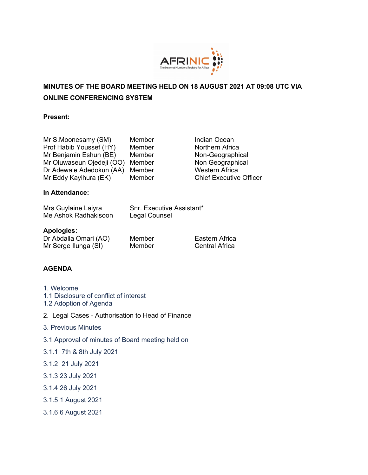

# **MINUTES OF THE BOARD MEETING HELD ON 18 AUGUST 2021 AT 09:08 UTC VIA ONLINE CONFERENCING SYSTEM**

#### **Present:**

| Mr S.Moonesamy (SM)       | Member |
|---------------------------|--------|
| Prof Habib Youssef (HY)   | Member |
| Mr Benjamin Eshun (BE)    | Member |
| Mr Oluwaseun Ojedeji (OO) | Member |
| Dr Adewale Adedokun (AA)  | Member |
| Mr Eddy Kayihura (EK)     | Member |

Indian Ocean Northern Africa Non-Geographical Non Geographical Western Africa **Chief Executive Officer** 

# **In Attendance:**

| Mrs Guylaine Laiyra  |  |
|----------------------|--|
| Me Ashok Radhakisoon |  |

Snr. Executive Assistant\* Legal Counsel

#### **Apologies:**

Dr Abdalla Omari (AO) Member Eastern Africa Mr Serge Ilunga (SI) Member Central Africa

# **AGENDA**

- 1. Welcome
- 1.1 Disclosure of conflict of interest
- 1.2 Adoption of Agenda
- 2. Legal Cases Authorisation to Head of Finance
- 3. Previous Minutes
- 3.1 Approval of minutes of Board meeting held on
- 3.1.1 7th & 8th July 2021
- 3.1.2 21 July 2021
- 3.1.3 23 July 2021
- 3.1.4 26 July 2021
- 3.1.5 1 August 2021
- 3.1.6 6 August 2021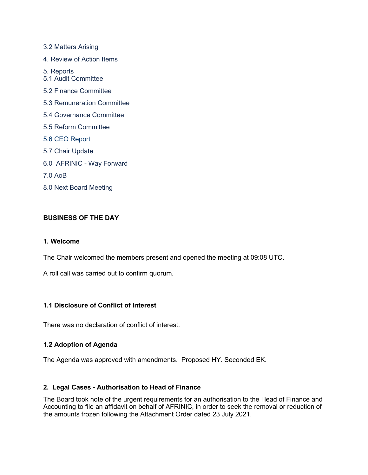3.2 Matters Arising 4. Review of Action Items 5. Reports 5.1 Audit Committee 5.2 Finance Committee 5.3 Remuneration Committee 5.4 Governance Committee 5.5 Reform Committee 5.6 CEO Report 5.7 Chair Update 6.0 AFRINIC - Way Forward 7.0 AoB 8.0 Next Board Meeting

## **BUSINESS OF THE DAY**

### **1. Welcome**

The Chair welcomed the members present and opened the meeting at 09:08 UTC.

A roll call was carried out to confirm quorum.

### **1.1 Disclosure of Conflict of Interest**

There was no declaration of conflict of interest.

### **1.2 Adoption of Agenda**

The Agenda was approved with amendments. Proposed HY. Seconded EK.

### **2. Legal Cases - Authorisation to Head of Finance**

The Board took note of the urgent requirements for an authorisation to the Head of Finance and Accounting to file an affidavit on behalf of AFRINIC, in order to seek the removal or reduction of the amounts frozen following the Attachment Order dated 23 July 2021.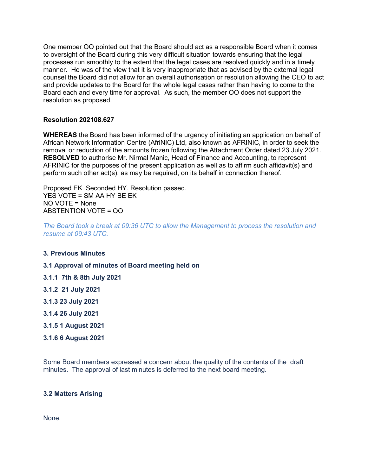One member OO pointed out that the Board should act as a responsible Board when it comes to oversight of the Board during this very difficult situation towards ensuring that the legal processes run smoothly to the extent that the legal cases are resolved quickly and in a timely manner. He was of the view that it is very inappropriate that as advised by the external legal counsel the Board did not allow for an overall authorisation or resolution allowing the CEO to act and provide updates to the Board for the whole legal cases rather than having to come to the Board each and every time for approval. As such, the member OO does not support the resolution as proposed.

### **Resolution 202108.627**

**WHEREAS** the Board has been informed of the urgency of initiating an application on behalf of African Network Information Centre (AfriNIC) Ltd, also known as AFRINIC, in order to seek the removal or reduction of the amounts frozen following the Attachment Order dated 23 July 2021. **RESOLVED** to authorise Mr. Nirmal Manic, Head of Finance and Accounting, to represent AFRINIC for the purposes of the present application as well as to affirm such affidavit(s) and perform such other act(s), as may be required, on its behalf in connection thereof.

Proposed EK. Seconded HY. Resolution passed. YES VOTE = SM AA HY BE EK NO VOTE = None ABSTENTION VOTE = OO

*The Board took a break at 09:36 UTC to allow the Management to process the resolution and resume at 09:43 UTC.*

#### **3. Previous Minutes**

#### **3.1 Approval of minutes of Board meeting held on**

- **3.1.1 7th & 8th July 2021**
- **3.1.2 21 July 2021**
- **3.1.3 23 July 2021**
- **3.1.4 26 July 2021**
- **3.1.5 1 August 2021**
- **3.1.6 6 August 2021**

Some Board members expressed a concern about the quality of the contents of the draft minutes. The approval of last minutes is deferred to the next board meeting.

#### **3.2 Matters Arising**

None.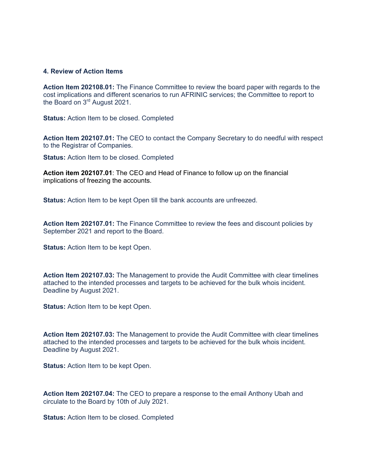#### **4. Review of Action Items**

**Action Item 202108.01:** The Finance Committee to review the board paper with regards to the cost implications and different scenarios to run AFRINIC services; the Committee to report to the Board on 3rd August 2021.

**Status:** Action Item to be closed. Completed

**Action Item 202107.01:** The CEO to contact the Company Secretary to do needful with respect to the Registrar of Companies.

**Status:** Action Item to be closed. Completed

**Action item 202107.01**: The CEO and Head of Finance to follow up on the financial implications of freezing the accounts.

**Status:** Action Item to be kept Open till the bank accounts are unfreezed.

**Action Item 202107.01:** The Finance Committee to review the fees and discount policies by September 2021 and report to the Board.

**Status:** Action Item to be kept Open.

**Action Item 202107.03:** The Management to provide the Audit Committee with clear timelines attached to the intended processes and targets to be achieved for the bulk whois incident. Deadline by August 2021.

**Status:** Action Item to be kept Open.

**Action Item 202107.03:** The Management to provide the Audit Committee with clear timelines attached to the intended processes and targets to be achieved for the bulk whois incident. Deadline by August 2021.

**Status:** Action Item to be kept Open.

**Action Item 202107.04:** The CEO to prepare a response to the email Anthony Ubah and circulate to the Board by 10th of July 2021.

**Status:** Action Item to be closed. Completed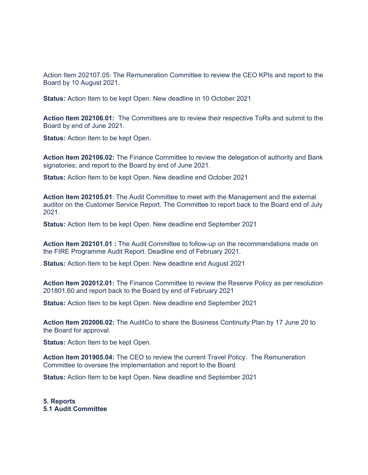Action Item 202107.05: The Remuneration Committee to review the CEO KPIs and report to the Board by 10 August 2021.

**Status:** Action Item to be kept Open. New deadline in 10 October 2021

**Action Item 202106.01:** The Committees are to review their respective ToRs and submit to the Board by end of June 2021.

**Status:** Action Item to be kept Open.

**Action Item 202106.02:** The Finance Committee to review the delegation of authority and Bank signatories; and report to the Board by end of June 2021.

**Status:** Action Item to be kept Open. New deadline end October 2021

**Action Item 202105.01**: The Audit Committee to meet with the Management and the external auditor on the Customer Service Report. The Committee to report back to the Board end of July 2021.

**Status:** Action Item to be kept Open. New deadline end September 2021

**Action Item 202101.01 :** The Audit Committee to follow-up on the recommendations made on the FIRE Programme Audit Report. Deadline end of February 2021.

**Status:** Action Item to be kept Open. New deadline end August 2021

**Action Item 202012.01:** The Finance Committee to review the Reserve Policy as per resolution 201801.60 and report back to the Board by end of February 2021

**Status:** Action Item to be kept Open. New deadline end September 2021

**Action Item 202006.02:** The AuditCo to share the Business Continuity Plan by 17 June 20 to the Board for approval.

**Status:** Action Item to be kept Open.

**Action Item 201905.04:** The CEO to review the current Travel Policy. The Remuneration Committee to oversee the implementation and report to the Board

**Status:** Action Item to be kept Open. New deadline end September 2021

**5. Reports 5.1 Audit Committee**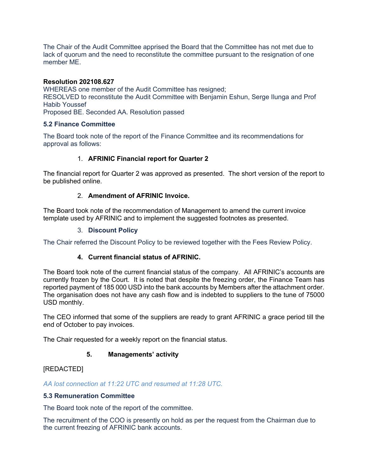The Chair of the Audit Committee apprised the Board that the Committee has not met due to lack of quorum and the need to reconstitute the committee pursuant to the resignation of one member ME.

#### **Resolution 202108.627**

WHEREAS one member of the Audit Committee has resigned; RESOLVED to reconstitute the Audit Committee with Benjamin Eshun, Serge Ilunga and Prof Habib Youssef Proposed BE. Seconded AA. Resolution passed

#### **5.2 Finance Committee**

The Board took note of the report of the Finance Committee and its recommendations for approval as follows:

### 1. **AFRINIC Financial report for Quarter 2**

The financial report for Quarter 2 was approved as presented. The short version of the report to be published online.

### 2. **Amendment of AFRINIC Invoice.**

The Board took note of the recommendation of Management to amend the current invoice template used by AFRINIC and to implement the suggested footnotes as presented.

#### 3. **Discount Policy**

The Chair referred the Discount Policy to be reviewed together with the Fees Review Policy.

### **4. Current financial status of AFRINIC.**

The Board took note of the current financial status of the company. All AFRINIC's accounts are currently frozen by the Court. It is noted that despite the freezing order, the Finance Team has reported payment of 185 000 USD into the bank accounts by Members after the attachment order. The organisation does not have any cash flow and is indebted to suppliers to the tune of 75000 USD monthly.

The CEO informed that some of the suppliers are ready to grant AFRINIC a grace period till the end of October to pay invoices.

The Chair requested for a weekly report on the financial status.

### **5. Managements' activity**

### [REDACTED]

*AA lost connection at 11:22 UTC and resumed at 11:28 UTC.* 

### **5.3 Remuneration Committee**

The Board took note of the report of the committee.

The recruitment of the COO is presently on hold as per the request from the Chairman due to the current freezing of AFRINIC bank accounts.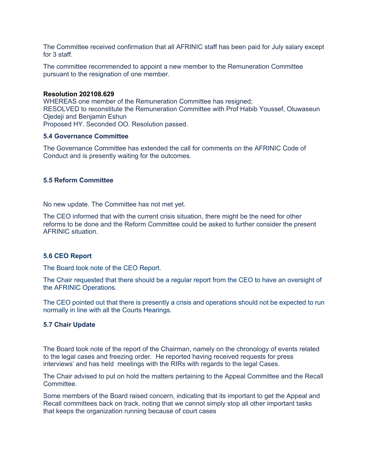The Committee received confirmation that all AFRINIC staff has been paid for July salary except for 3 staff.

The committee recommended to appoint a new member to the Remuneration Committee pursuant to the resignation of one member.

#### **Resolution 202108.629**

WHEREAS one member of the Remuneration Committee has resigned; RESOLVED to reconstitute the Remuneration Committee with Prof Habib Youssef, Oluwaseun Ojedeji and Benjamin Eshun Proposed HY. Seconded OO. Resolution passed.

#### **5.4 Governance Committee**

The Governance Committee has extended the call for comments on the AFRINIC Code of Conduct and is presently waiting for the outcomes.

#### **5.5 Reform Committee**

No new update. The Committee has not met yet.

The CEO informed that with the current crisis situation, there might be the need for other reforms to be done and the Reform Committee could be asked to further consider the present AFRINIC situation.

#### **5.6 CEO Report**

The Board took note of the CEO Report.

The Chair requested that there should be a regular report from the CEO to have an oversight of the AFRINIC Operations.

The CEO pointed out that there is presently a crisis and operations should not be expected to run normally in line with all the Courts Hearings.

#### **5.7 Chair Update**

The Board took note of the report of the Chairman, namely on the chronology of events related to the legal cases and freezing order. He reported having received requests for press interviews' and has held meetings with the RIRs with regards to the legal Cases.

The Chair advised to put on hold the matters pertaining to the Appeal Committee and the Recall Committee.

Some members of the Board raised concern, indicating that its important to get the Appeal and Recall committees back on track, noting that we cannot simply stop all other important tasks that keeps the organization running because of court cases